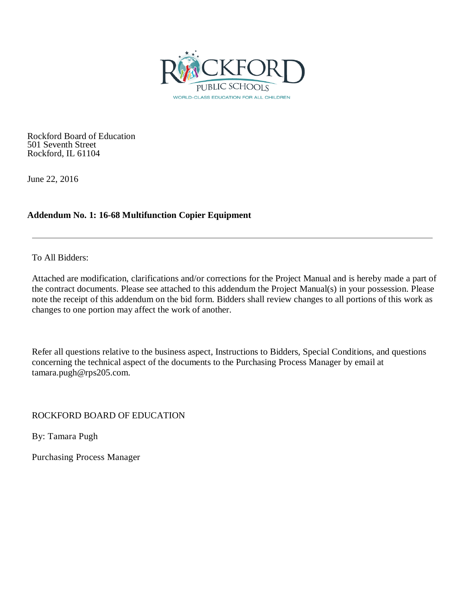

Rockford Board of Education 501 Seventh Street Rockford, IL 61104

June 22, 2016

### **Addendum No. 1: 16-68 Multifunction Copier Equipment**

To All Bidders:

Attached are modification, clarifications and/or corrections for the Project Manual and is hereby made a part of the contract documents. Please see attached to this addendum the Project Manual(s) in your possession. Please note the receipt of this addendum on the bid form. Bidders shall review changes to all portions of this work as changes to one portion may affect the work of another.

Refer all questions relative to the business aspect, Instructions to Bidders, Special Conditions, and questions concerning the technical aspect of the documents to the Purchasing Process Manager by email at tamara.pugh@rps205.com.

ROCKFORD BOARD OF EDUCATION

By: Tamara Pugh

Purchasing Process Manager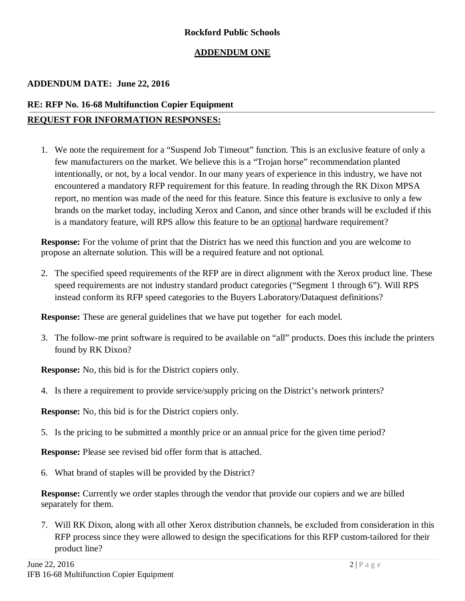### **Rockford Public Schools**

### **ADDENDUM ONE**

### **ADDENDUM DATE: June 22, 2016**

### **RE: RFP No. 16-68 Multifunction Copier Equipment REQUEST FOR INFORMATION RESPONSES:**

1. We note the requirement for a "Suspend Job Timeout" function. This is an exclusive feature of only a few manufacturers on the market. We believe this is a "Trojan horse" recommendation planted intentionally, or not, by a local vendor. In our many years of experience in this industry, we have not encountered a mandatory RFP requirement for this feature. In reading through the RK Dixon MPSA report, no mention was made of the need for this feature. Since this feature is exclusive to only a few brands on the market today, including Xerox and Canon, and since other brands will be excluded if this is a mandatory feature, will RPS allow this feature to be an optional hardware requirement?

**Response:** For the volume of print that the District has we need this function and you are welcome to propose an alternate solution. This will be a required feature and not optional.

2. The specified speed requirements of the RFP are in direct alignment with the Xerox product line. These speed requirements are not industry standard product categories ("Segment 1 through 6"). Will RPS instead conform its RFP speed categories to the Buyers Laboratory/Dataquest definitions?

**Response:** These are general guidelines that we have put together for each model.

3. The follow-me print software is required to be available on "all" products. Does this include the printers found by RK Dixon?

**Response:** No, this bid is for the District copiers only.

4. Is there a requirement to provide service/supply pricing on the District's network printers?

**Response:** No, this bid is for the District copiers only.

5. Is the pricing to be submitted a monthly price or an annual price for the given time period?

**Response:** Please see revised bid offer form that is attached.

6. What brand of staples will be provided by the District?

**Response:** Currently we order staples through the vendor that provide our copiers and we are billed separately for them.

7. Will RK Dixon, along with all other Xerox distribution channels, be excluded from consideration in this RFP process since they were allowed to design the specifications for this RFP custom-tailored for their product line?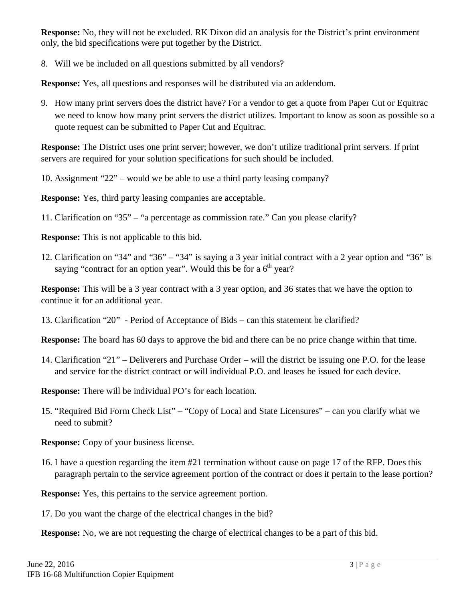**Response:** No, they will not be excluded. RK Dixon did an analysis for the District's print environment only, the bid specifications were put together by the District.

8. Will we be included on all questions submitted by all vendors?

**Response:** Yes, all questions and responses will be distributed via an addendum.

9. How many print servers does the district have? For a vendor to get a quote from Paper Cut or Equitrac we need to know how many print servers the district utilizes. Important to know as soon as possible so a quote request can be submitted to Paper Cut and Equitrac.

**Response:** The District uses one print server; however, we don't utilize traditional print servers. If print servers are required for your solution specifications for such should be included.

10. Assignment "22" – would we be able to use a third party leasing company?

**Response:** Yes, third party leasing companies are acceptable.

11. Clarification on "35" – "a percentage as commission rate." Can you please clarify?

**Response:** This is not applicable to this bid.

12. Clarification on "34" and "36" – "34" is saying a 3 year initial contract with a 2 year option and "36" is saying "contract for an option year". Would this be for a  $6<sup>th</sup>$  year?

**Response:** This will be a 3 year contract with a 3 year option, and 36 states that we have the option to continue it for an additional year.

13. Clarification "20" - Period of Acceptance of Bids – can this statement be clarified?

**Response:** The board has 60 days to approve the bid and there can be no price change within that time.

14. Clarification "21" – Deliverers and Purchase Order – will the district be issuing one P.O. for the lease and service for the district contract or will individual P.O. and leases be issued for each device.

**Response:** There will be individual PO's for each location.

15. "Required Bid Form Check List" – "Copy of Local and State Licensures" – can you clarify what we need to submit?

**Response:** Copy of your business license.

16. I have a question regarding the item #21 termination without cause on page 17 of the RFP. Does this paragraph pertain to the service agreement portion of the contract or does it pertain to the lease portion?

**Response:** Yes, this pertains to the service agreement portion.

17. Do you want the charge of the electrical changes in the bid?

**Response:** No, we are not requesting the charge of electrical changes to be a part of this bid.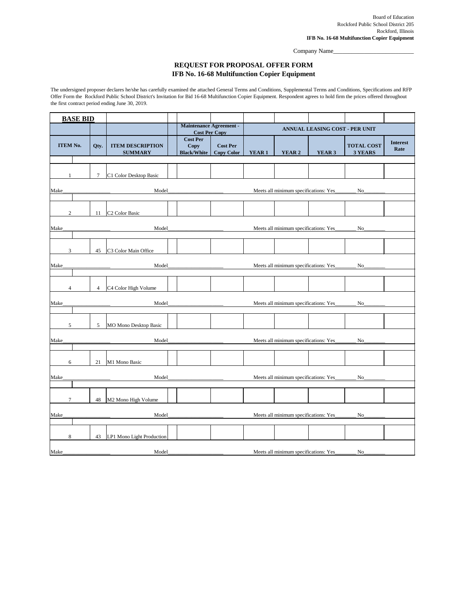Board of Education Rockford Public School District 205 Rockford, Illinois **IFB No. 16-68 Multifunction Copier Equipment**

Company Name\_\_\_\_\_\_\_\_\_\_\_\_\_\_\_\_\_\_\_\_\_\_\_\_\_\_

| <b>BASE BID</b> |                 |                                           |                                                        |                                         |                                                           |                                        |                                       |                                     |                         |
|-----------------|-----------------|-------------------------------------------|--------------------------------------------------------|-----------------------------------------|-----------------------------------------------------------|----------------------------------------|---------------------------------------|-------------------------------------|-------------------------|
|                 |                 |                                           | <b>Maintenance Agreement -</b><br><b>Cost Per Copy</b> |                                         | ANNUAL LEASING COST - PER UNIT                            |                                        |                                       |                                     |                         |
| <b>ITEM No.</b> | Qty.            | <b>ITEM DESCRIPTION</b><br><b>SUMMARY</b> | <b>Cost Per</b><br>Copy<br><b>Black/White</b>          | <b>Cost Per</b><br><b>Copy Color</b>    | <b>YEAR 1</b>                                             | <b>YEAR 2</b>                          | <b>YEAR 3</b>                         | <b>TOTAL COST</b><br><b>3 YEARS</b> | <b>Interest</b><br>Rate |
|                 |                 |                                           |                                                        |                                         |                                                           |                                        |                                       |                                     |                         |
|                 | $\overline{7}$  | C1 Color Desktop Basic                    |                                                        |                                         |                                                           |                                        |                                       |                                     |                         |
| Make_           |                 |                                           |                                                        |                                         | Meets all minimum specifications: Yes<br>$N$ <sup>O</sup> |                                        |                                       |                                     |                         |
| $\overline{2}$  | 11              | C <sub>2</sub> Color Basic                |                                                        |                                         |                                                           |                                        |                                       |                                     |                         |
| Make_           |                 |                                           |                                                        |                                         |                                                           |                                        | Meets all minimum specifications: Yes | $N$ <sup>O</sup>                    |                         |
|                 |                 |                                           |                                                        |                                         |                                                           |                                        |                                       |                                     |                         |
| 3               | 45              | C <sub>3</sub> Color Main Office          |                                                        |                                         |                                                           |                                        |                                       |                                     |                         |
| Make_           |                 | Model_                                    |                                                        | <u> 1990 - Johann Barbara, martin a</u> |                                                           |                                        | Meets all minimum specifications: Yes | $No_$                               |                         |
| $\overline{4}$  | $\overline{4}$  | C <sub>4</sub> Color High Volume          |                                                        |                                         |                                                           |                                        |                                       |                                     |                         |
| Make            |                 | Model_                                    |                                                        |                                         |                                                           |                                        | Meets all minimum specifications: Yes | No                                  |                         |
| 5               | $5\overline{)}$ | <b>MO Mono Desktop Basic</b>              |                                                        |                                         |                                                           |                                        |                                       |                                     |                         |
| Make_           |                 | Model                                     |                                                        |                                         |                                                           | Meets all minimum specifications: Yes_ |                                       | No                                  |                         |
| 6               | 21              | M1 Mono Basic                             |                                                        |                                         |                                                           |                                        |                                       |                                     |                         |
| Make            |                 | Model_                                    |                                                        |                                         |                                                           | Meets all minimum specifications: Yes_ |                                       | No                                  |                         |
|                 |                 |                                           |                                                        |                                         |                                                           |                                        |                                       |                                     |                         |

## **REQUEST FOR PROPOSAL OFFER FORM IFB No. 16-68 Multifunction Copier Equipment**

|      |                                                                   | 48 | M <sub>2</sub> Mono High Volume |  |  |  |                                        |                |  |
|------|-------------------------------------------------------------------|----|---------------------------------|--|--|--|----------------------------------------|----------------|--|
| Make | Meets all minimum specifications: Yes_<br>Model<br>N <sub>o</sub> |    |                                 |  |  |  |                                        |                |  |
|      |                                                                   |    |                                 |  |  |  |                                        |                |  |
|      |                                                                   |    |                                 |  |  |  |                                        |                |  |
|      |                                                                   | 43 | LP1 Mono Light Production       |  |  |  |                                        |                |  |
|      |                                                                   |    |                                 |  |  |  |                                        |                |  |
| Make |                                                                   |    | Model                           |  |  |  | Meets all minimum specifications: Yes_ | N <sub>0</sub> |  |

The undersigned proposer declares he/she has carefully examined the attached General Terms and Conditions, Supplemental Terms and Conditions, Specifications and RFP Offer Form the Rockford Public School District's Invitation for Bid 16-68 Multifunction Copier Equipment. Respondent agrees to hold firm the prices offered throughout the first contract period ending June 30, 2019.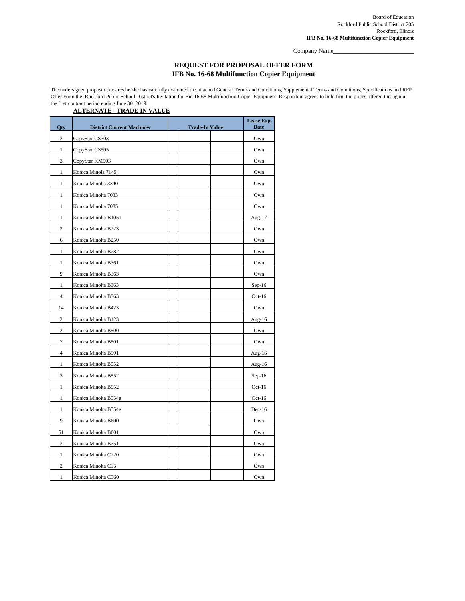Board of Education Rockford Public School District 205 Rockford, Illinois **IFB No. 16-68 Multifunction Copier Equipment**

Company Name\_

# **REQUEST FOR PROPOSAL OFFER FORM IFB No. 16-68 Multifunction Copier Equipment**

The undersigned proposer declares he/she has carefully examined the attached General Terms and Conditions, Supplemental Terms and Conditions, Specifications and RFP Offer Form the Rockford Public School District's Invitation for Bid 16-68 Multifunction Copier Equipment. Respondent agrees to hold firm the prices offered throughout the first contract period ending June 30, 2019.

## **ALTERNATE - TRADE IN VALUE**

| Qty            | <b>District Current Machines</b> | <b>Trade-In Value</b> | Lease Exp.<br><b>Date</b> |
|----------------|----------------------------------|-----------------------|---------------------------|
| 3              | CopyStar CS303                   |                       | Own                       |
| $\mathbf{1}$   | CopyStar CS505                   |                       | Own                       |
| 3              | CopyStar KM503                   |                       | Own                       |
| $\mathbf{1}$   | Konica Minola 7145               |                       | Own                       |
| $\mathbf{1}$   | Konica Minolta 3340              |                       | Own                       |
| $\mathbf{1}$   | Konica Minolta 7033              |                       | Own                       |
| $\mathbf{1}$   | Konica Minolta 7035              |                       | Own                       |
| $\mathbf{1}$   | Konica Minolta B1051             |                       | Aug-17                    |
| $\overline{2}$ | Konica Minolta B223              |                       | Own                       |
| 6              | Konica Minolta B250              |                       | Own                       |
| $\mathbf{1}$   | Konica Minolta B282              |                       | Own                       |
| 1              | Konica Minolta B361              |                       | Own                       |
| 9              | Konica Minolta B363              |                       | Own                       |
| $\mathbf{1}$   | Konica Minolta B363              |                       | $Sep-16$                  |
| 4              | Konica Minolta B363              |                       | $Oct-16$                  |
| 14             | Konica Minolta B423              |                       | Own                       |
| $\overline{2}$ | Konica Minolta B423              |                       | Aug-16                    |
| $\overline{2}$ | Konica Minolta B500              |                       | Own                       |
| 7              | Konica Minolta B501              |                       | Own                       |
| 4              | Konica Minolta B501              |                       | Aug-16                    |
| $\mathbf{1}$   | Konica Minolta B552              |                       | Aug-16                    |
| 3              | Konica Minolta B552              |                       | $Sep-16$                  |
| $\mathbf{1}$   | Konica Minolta B552              |                       | $Oct-16$                  |
| $\mathbf{1}$   | Konica Minolta B554e             |                       | $Oct-16$                  |
| $\mathbf{1}$   | Konica Minolta B554e             |                       | $Dec-16$                  |
| 9              | Konica Minolta B600              |                       | Own                       |
| 51             | Konica Minolta B601              |                       | Own                       |
| $\overline{2}$ | Konica Minolta B751              |                       | Own                       |
| $\mathbf{1}$   | Konica Minolta C220              |                       | Own                       |
| $\overline{2}$ | Konica Minolta C35               |                       | Own                       |
| $\mathbf{1}$   | Konica Minolta C360              |                       | Own                       |